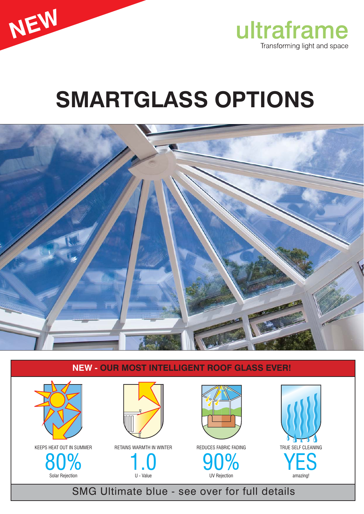



# **SMARTGLASS OPTIONS**



### **NEW - OUR MOST INTELLIGENT ROOF GLASS EVER!**



SMG Ultimate blue - see over for full details